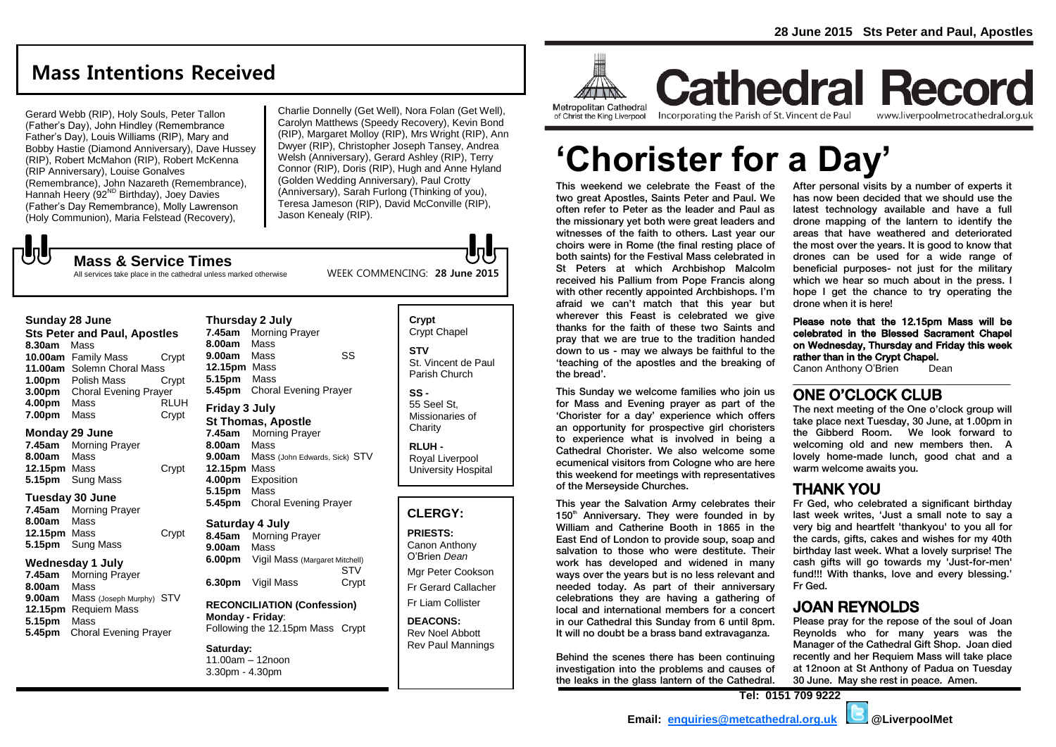# **Mass Intentions Received**

Gerard Webb (RIP), Holy Souls, Peter Tallon (Father's Day), John Hindley (Remembrance Father's Day), Louis Williams (RIP), Mary and Bobby Hastie (Diamond Anniversary), Dave Hussey (RIP), Robert McMahon (RIP), Robert McKenna (RIP Anniversary), Louise Gonalves (Remembrance), John Nazareth (Remembrance), Hannah Heery (92<sup>ND</sup> Birthday), Joey Davies (Father's Day Remembrance), Molly Lawrenson (Holy Communion), Maria Felstead (Recovery),

**Mass & Service Times**

Charlie Donnelly (Get Well), Nora Folan (Get Well), Carolyn Matthews (Speedy Recovery), Kevin Bond (RIP), Margaret Molloy (RIP), Mrs Wright (RIP), Ann Dwyer (RIP), Christopher Joseph Tansey, Andrea Welsh (Anniversary), Gerard Ashley (RIP), Terry Connor (RIP), Doris (RIP), Hugh and Anne Hyland (Golden Wedding Anniversary), Paul Crotty (Anniversary), Sarah Furlong (Thinking of you), Teresa Jameson (RIP), David McConville (RIP), Jason Kenealy (RIP).

WEEK COMMENCING: **28 June 2015**

All services take place in the cathedral unless marked otherwise

#### **Sunday 28 June**

**しし** 

**Sts Peter and Paul, Apostles 8.30am** Mass **10.00am** Family Mass Crypt **11.00am** Solemn Choral Mass **1.00pm** Polish Mass Crypt **3.00pm** Choral Evening Prayer **4.00pm** Mass RLUH **7.00pm** Mass Crypt

#### **Monday 29 June**

**7.45am** Morning Prayer **8.00am** Mass **12.15pm** Mass Crypt **5.15pm** Sung Mass

#### **Tuesday 30 June**

**7.45am** Morning Prayer **8.00am** Mass **12.15pm** Mass Crypt **5.15pm** Sung Mass

#### **Wednesday 1 July**

**7.45am** Morning Prayer **8.00am** Mass **9.00am** Mass (Joseph Murphy) STV **12.15pm** Requiem Mass **5.15pm** Mass **5.45pm** Choral Evening Prayer

### **Thursday 2 July 7.45am** Morning Prayer **8.00am** Mass **9.00am** Mass SS **12.15pm** Mass **5.15pm** Mass **5.45pm** Choral Evening Prayer **Friday 3 July**

## **St Thomas, Apostle**

**7.45am** Morning Prayer **8.00am** Mass **9.00am** Mass (John Edwards, Sick) STV **12.15pm** Mass **4.00pm** Exposition **5.15pm** Mass **5.45pm** Choral Evening Prayer

**Saturday 4 July 8.45am** Morning Prayer **9.00am** Mass **6.00pm** Vigil Mass (Margaret Mitchell) **STV 6.30pm** Vigil Mass Crypt

**RECONCILIATION (Confession) Monday - Friday**: Following the 12.15pm Mass Crypt

#### **Saturday:**

11.00am – 12noon 3.30pm - 4.30pm

#### **Crypt**  Crypt Chapel **STV** St. Vincent de Paul Parish Church

**SS -** 55 Seel St, Missionaries of **Charity** 

**RLUH -** Royal Liverpool University Hospital

## **CLERGY:**

**PRIESTS:** Canon Anthony O'Brien *Dean* Mgr Peter Cookson Fr Gerard Callacher Fr Liam Collister

**DEACONS:** Rev Noel Abbott Rev Paul Mannings



of Christ the King Liverpool

Incorporating the Parish of St. Vincent de Paul

**Cathedral Record** www.liverpoolmetrocathedral.org.uk

# **'Chorister for a Day'**

This weekend we celebrate the Feast of the two great Apostles, Saints Peter and Paul. We often refer to Peter as the leader and Paul as the missionary yet both were great leaders and witnesses of the faith to others. Last year our choirs were in Rome (the final resting place of both saints) for the Festival Mass celebrated in St Peters at which Archbishop Malcolm received his Pallium from Pope Francis along with other recently appointed Archbishops. I'm afraid we can't match that this year but wherever this Feast is celebrated we give thanks for the faith of these two Saints and pray that we are true to the tradition handed down to us - may we always be faithful to the 'teaching of the apostles and the breaking of the bread'.

This Sunday we welcome families who join us for Mass and Evening prayer as part of the 'Chorister for a day' experience which offers an opportunity for prospective girl choristers to experience what is involved in being a Cathedral Chorister. We also welcome some ecumenical visitors from Cologne who are here this weekend for meetings with representatives of the Merseyside Churches.

This year the Salvation Army celebrates their 150<sup>th</sup> Anniversary. They were founded in by William and Catherine Booth in 1865 in the East End of London to provide soup, soap and salvation to those who were destitute. Their work has developed and widened in many ways over the years but is no less relevant and needed today. As part of their anniversary celebrations they are having a gathering of local and international members for a concert in our Cathedral this Sunday from 6 until 8pm. It will no doubt be a brass band extravaganza.

Behind the scenes there has been continuing investigation into the problems and causes of the leaks in the glass lantern of the Cathedral. After personal visits by a number of experts it has now been decided that we should use the latest technology available and have a full drone mapping of the lantern to identify the areas that have weathered and deteriorated the most over the years. It is good to know that drones can be used for a wide range of beneficial purposes- not just for the military which we hear so much about in the press. I hope I get the chance to try operating the drone when it is here!

Please note that the 12.15pm Mass will be celebrated in the Blessed Sacrament Chapel on Wednesday, Thursday and Friday this week rather than in the Crypt Chapel.

\_\_\_\_\_\_\_\_\_\_\_\_\_\_\_\_\_\_\_\_\_\_\_\_\_\_\_\_\_\_\_\_\_\_\_\_\_\_\_

Canon Anthony O'Brien Dean

## ONE O'CLOCK CLUB

The next meeting of the One o'clock group will take place next Tuesday, 30 June, at 1.00pm in the Gibberd Room. We look forward to welcoming old and new members then. A lovely home-made lunch, good chat and a warm welcome awaits you.

## THANK YOU

Fr Ged, who celebrated a significant birthday last week writes, 'Just a small note to say a very big and heartfelt 'thankyou' to you all for the cards, gifts, cakes and wishes for my 40th birthday last week. What a lovely surprise! The cash gifts will go towards my 'Just-for-men' fund!!! With thanks, love and every blessing.' Fr Ged.

## JOAN REYNOLDS

Please pray for the repose of the soul of Joan Reynolds who for many years was the Manager of the Cathedral Gift Shop. Joan died recently and her Requiem Mass will take place at 12noon at St Anthony of Padua on Tuesday 30 June. May she rest in peace. Amen.

**Tel: 0151 709 9222**